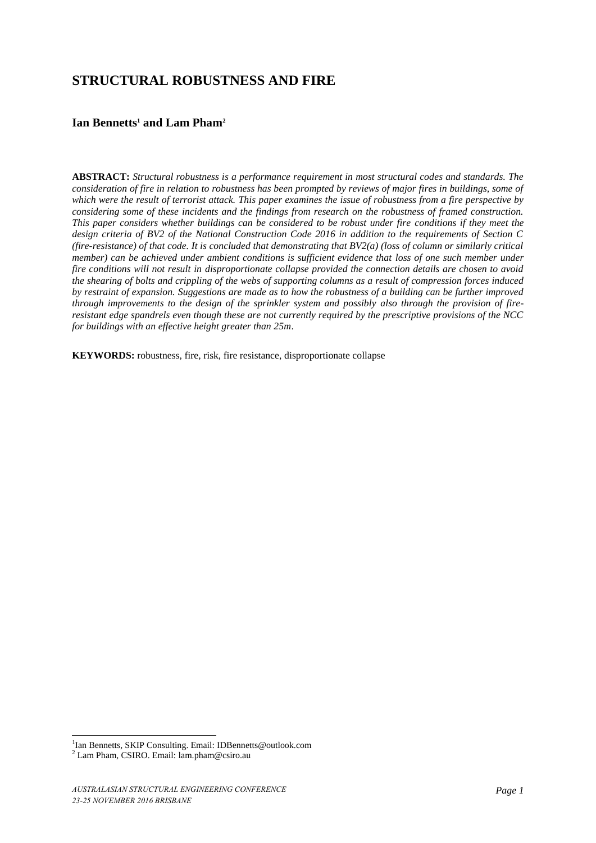# **STRUCTURAL ROBUSTNESS AND FIRE**

## **Ian Bennetts<sup>1</sup> and Lam Pham<sup>2</sup>**

**ABSTRACT:** *Structural robustness is a performance requirement in most structural codes and standards. The consideration of fire in relation to robustness has been prompted by reviews of major fires in buildings, some of which were the result of terrorist attack. This paper examines the issue of robustness from a fire perspective by considering some of these incidents and the findings from research on the robustness of framed construction. This paper considers whether buildings can be considered to be robust under fire conditions if they meet the design criteria of BV2 of the National Construction Code 2016 in addition to the requirements of Section C (fire-resistance) of that code. It is concluded that demonstrating that BV2(a) (loss of column or similarly critical member) can be achieved under ambient conditions is sufficient evidence that loss of one such member under fire conditions will not result in disproportionate collapse provided the connection details are chosen to avoid the shearing of bolts and crippling of the webs of supporting columns as a result of compression forces induced by restraint of expansion. Suggestions are made as to how the robustness of a building can be further improved through improvements to the design of the sprinkler system and possibly also through the provision of fireresistant edge spandrels even though these are not currently required by the prescriptive provisions of the NCC for buildings with an effective height greater than 25m*.

**KEYWORDS:** robustness, fire, risk, fire resistance, disproportionate collapse

<sup>&</sup>lt;sup>1</sup>Ian Bennetts, SKIP Consulting. Email: IDBennetts@outlook.com

<sup>2</sup> Lam Pham, CSIRO. Email: lam.pham@csiro.au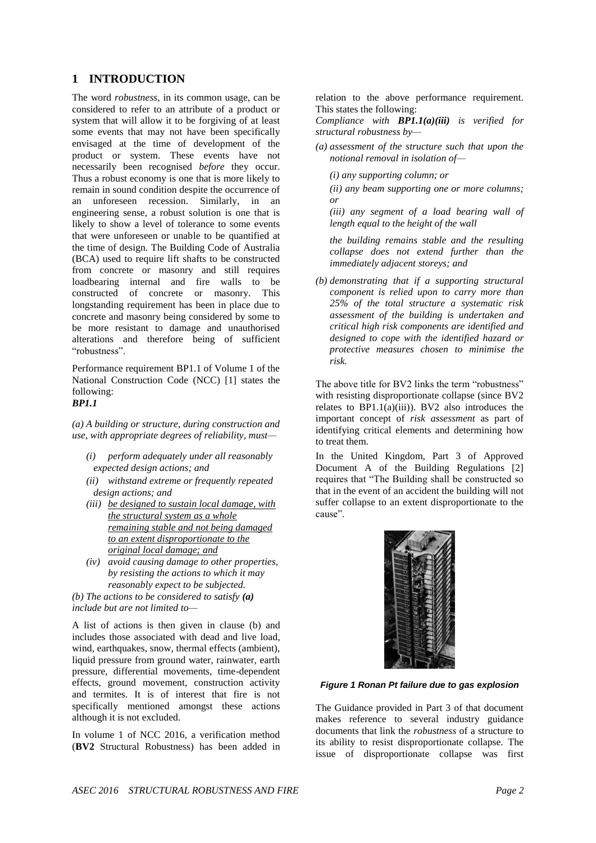## **1 INTRODUCTION**

The word *robustness*, in its common usage, can be considered to refer to an attribute of a product or system that will allow it to be forgiving of at least some events that may not have been specifically envisaged at the time of development of the product or system. These events have not necessarily been recognised *before* they occur. Thus a robust economy is one that is more likely to remain in sound condition despite the occurrence of an unforeseen recession. Similarly, in an engineering sense, a robust solution is one that is likely to show a level of tolerance to some events that were unforeseen or unable to be quantified at the time of design. The Building Code of Australia (BCA) used to require lift shafts to be constructed from concrete or masonry and still requires loadbearing internal and fire walls to be constructed of concrete or masonry. This longstanding requirement has been in place due to concrete and masonry being considered by some to be more resistant to damage and unauthorised alterations and therefore being of sufficient "robustness".

Performance requirement BP1.1 of Volume 1 of the National Construction Code (NCC) [1] states the following:

#### *BP1.1*

*(a) A building or structure, during construction and use, with appropriate degrees of reliability, must—*

- *(i) perform adequately under all reasonably expected design actions; and*
- *(ii) withstand extreme or frequently repeated design actions; and*
- *(iii) be designed to sustain local damage, with the structural system as a whole remaining stable and not being damaged to an extent disproportionate to the original local damage; and*
- *(iv) avoid causing damage to other properties, by resisting the actions to which it may reasonably expect to be subjected.*

*(b) The actions to be considered to satisfy (a) include but are not limited to—*

A list of actions is then given in clause (b) and includes those associated with dead and live load, wind, earthquakes, snow, thermal effects (ambient), liquid pressure from ground water, rainwater, earth pressure, differential movements, time-dependent effects, ground movement, construction activity and termites. It is of interest that fire is not specifically mentioned amongst these actions although it is not excluded.

In volume 1 of NCC 2016, a verification method (**BV2** Structural Robustness) has been added in relation to the above performance requirement. This states the following:

*Compliance with BP1.1(a)(iii) is verified for structural robustness by—*

*(a) assessment of the structure such that upon the notional removal in isolation of—*

*(i) any supporting column; or* 

*(ii) any beam supporting one or more columns; or* 

*(iii) any segment of a load bearing wall of length equal to the height of the wall*

*the building remains stable and the resulting collapse does not extend further than the immediately adjacent storeys; and* 

*(b) demonstrating that if a supporting structural component is relied upon to carry more than 25% of the total structure a systematic risk assessment of the building is undertaken and critical high risk components are identified and designed to cope with the identified hazard or protective measures chosen to minimise the risk.* 

The above title for BV2 links the term "robustness" with resisting disproportionate collapse (since BV2 relates to  $BP1.1(a)(iii)$ . BV2 also introduces the important concept of *risk assessment* as part of identifying critical elements and determining how to treat them.

In the United Kingdom, Part 3 of Approved Document A of the Building Regulations [2] requires that "The Building shall be constructed so that in the event of an accident the building will not suffer collapse to an extent disproportionate to the cause".



#### *Figure 1 Ronan Pt failure due to gas explosion*

The Guidance provided in Part 3 of that document makes reference to several industry guidance documents that link the *robustness* of a structure to its ability to resist disproportionate collapse. The issue of disproportionate collapse was first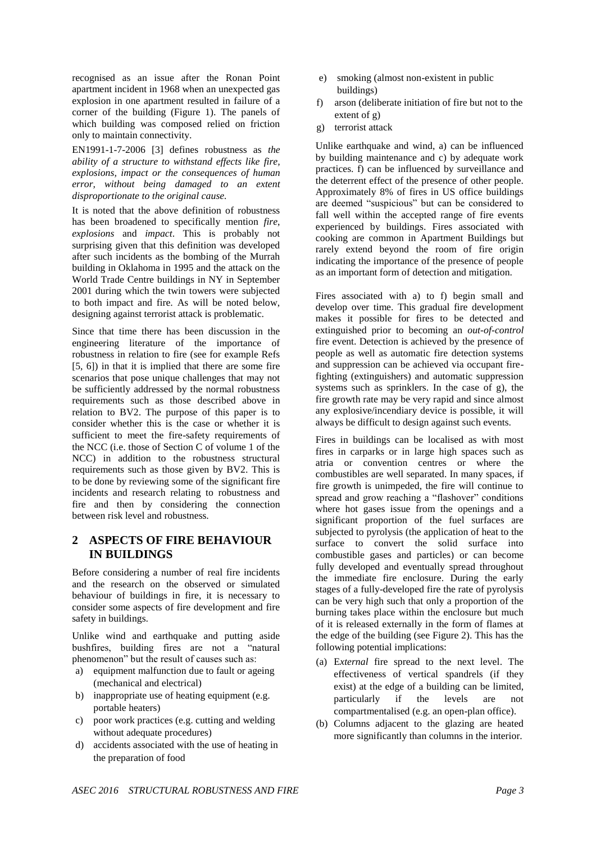recognised as an issue after the Ronan Point apartment incident in 1968 when an unexpected gas explosion in one apartment resulted in failure of a corner of the building (Figure 1). The panels of which building was composed relied on friction only to maintain connectivity.

EN1991-1-7-2006 [3] defines robustness as *the ability of a structure to withstand effects like fire, explosions, impact or the consequences of human error, without being damaged to an extent disproportionate to the original cause.*

It is noted that the above definition of robustness has been broadened to specifically mention *fire*, *explosions* and *impact*. This is probably not surprising given that this definition was developed after such incidents as the bombing of the Murrah building in Oklahoma in 1995 and the attack on the World Trade Centre buildings in NY in September 2001 during which the twin towers were subjected to both impact and fire. As will be noted below, designing against terrorist attack is problematic.

Since that time there has been discussion in the engineering literature of the importance of robustness in relation to fire (see for example Refs [5, 6]) in that it is implied that there are some fire scenarios that pose unique challenges that may not be sufficiently addressed by the normal robustness requirements such as those described above in relation to BV2. The purpose of this paper is to consider whether this is the case or whether it is sufficient to meet the fire-safety requirements of the NCC (i.e. those of Section C of volume 1 of the NCC) in addition to the robustness structural requirements such as those given by BV2. This is to be done by reviewing some of the significant fire incidents and research relating to robustness and fire and then by considering the connection between risk level and robustness.

### **2 ASPECTS OF FIRE BEHAVIOUR IN BUILDINGS**

Before considering a number of real fire incidents and the research on the observed or simulated behaviour of buildings in fire, it is necessary to consider some aspects of fire development and fire safety in buildings.

Unlike wind and earthquake and putting aside bushfires, building fires are not a "natural phenomenon" but the result of causes such as:

- a) equipment malfunction due to fault or ageing (mechanical and electrical)
- b) inappropriate use of heating equipment (e.g. portable heaters)
- c) poor work practices (e.g. cutting and welding without adequate procedures)
- d) accidents associated with the use of heating in the preparation of food
- e) smoking (almost non-existent in public buildings)
- f) arson (deliberate initiation of fire but not to the extent of g)
- g) terrorist attack

Unlike earthquake and wind, a) can be influenced by building maintenance and c) by adequate work practices. f) can be influenced by surveillance and the deterrent effect of the presence of other people. Approximately 8% of fires in US office buildings are deemed "suspicious" but can be considered to fall well within the accepted range of fire events experienced by buildings. Fires associated with cooking are common in Apartment Buildings but rarely extend beyond the room of fire origin indicating the importance of the presence of people as an important form of detection and mitigation.

Fires associated with a) to f) begin small and develop over time. This gradual fire development makes it possible for fires to be detected and extinguished prior to becoming an *out-of-control* fire event. Detection is achieved by the presence of people as well as automatic fire detection systems and suppression can be achieved via occupant firefighting (extinguishers) and automatic suppression systems such as sprinklers. In the case of g), the fire growth rate may be very rapid and since almost any explosive/incendiary device is possible, it will always be difficult to design against such events.

Fires in buildings can be localised as with most fires in carparks or in large high spaces such as atria or convention centres or where the combustibles are well separated. In many spaces, if fire growth is unimpeded, the fire will continue to spread and grow reaching a "flashover" conditions where hot gases issue from the openings and a significant proportion of the fuel surfaces are subjected to pyrolysis (the application of heat to the surface to convert the solid surface into combustible gases and particles) or can become fully developed and eventually spread throughout the immediate fire enclosure. During the early stages of a fully-developed fire the rate of pyrolysis can be very high such that only a proportion of the burning takes place within the enclosure but much of it is released externally in the form of flames at the edge of the building (see Figure 2). This has the following potential implications:

- (a) E*xternal* fire spread to the next level. The effectiveness of vertical spandrels (if they exist) at the edge of a building can be limited, particularly if the levels are not compartmentalised (e.g. an open-plan office).
- (b) Columns adjacent to the glazing are heated more significantly than columns in the interior.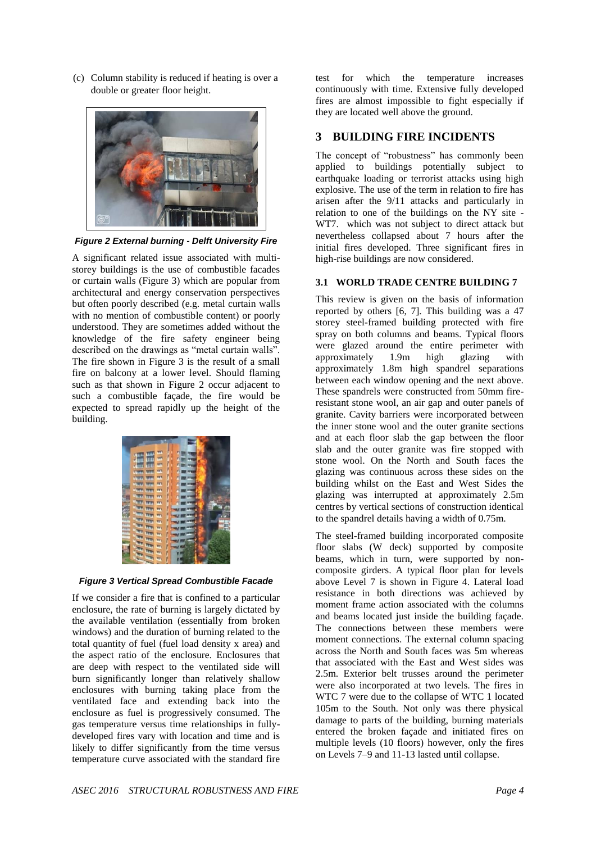(c) Column stability is reduced if heating is over a double or greater floor height.



*Figure 2 External burning - Delft University Fire*

A significant related issue associated with multistorey buildings is the use of combustible facades or curtain walls (Figure 3) which are popular from architectural and energy conservation perspectives but often poorly described (e.g. metal curtain walls with no mention of combustible content) or poorly understood. They are sometimes added without the knowledge of the fire safety engineer being described on the drawings as "metal curtain walls". The fire shown in Figure 3 is the result of a small fire on balcony at a lower level. Should flaming such as that shown in Figure 2 occur adjacent to such a combustible façade, the fire would be expected to spread rapidly up the height of the building.

|               | m             | <b>TTI</b> |   | n |  |  |
|---------------|---------------|------------|---|---|--|--|
| ш<br>٧        |               | <b>TTT</b> |   |   |  |  |
| шU<br>۲       | ПT            | <b>VT1</b> | ľ | n |  |  |
| Uhanti        |               | <b>YTT</b> |   |   |  |  |
| <b>Dinni</b>  |               | <b>TT1</b> | I |   |  |  |
| <b>Ultra</b>  |               | m          | ľ |   |  |  |
| <b>Uhit</b>   |               | m          |   |   |  |  |
| Ujur          |               | m          |   |   |  |  |
| Utilia        |               |            |   |   |  |  |
| <b>Vitual</b> |               | m          |   |   |  |  |
|               | <b>Tim</b>    | m          | ľ |   |  |  |
| <b>Line</b>   | m             | TT1        | ł |   |  |  |
| <b>TITTE</b>  | mm            | m          | ł |   |  |  |
| mm            | ma            | गा         | ı |   |  |  |
| m             | Tim           | m          |   |   |  |  |
| m             | mm            | m          |   |   |  |  |
| m             | mm            | m          |   |   |  |  |
|               | m             | m          |   |   |  |  |
|               | <b>TTTP</b>   | m          |   |   |  |  |
|               | <b>Window</b> |            |   |   |  |  |

*Figure 3 Vertical Spread Combustible Facade*

If we consider a fire that is confined to a particular enclosure, the rate of burning is largely dictated by the available ventilation (essentially from broken windows) and the duration of burning related to the total quantity of fuel (fuel load density x area) and the aspect ratio of the enclosure. Enclosures that are deep with respect to the ventilated side will burn significantly longer than relatively shallow enclosures with burning taking place from the ventilated face and extending back into the enclosure as fuel is progressively consumed. The gas temperature versus time relationships in fullydeveloped fires vary with location and time and is likely to differ significantly from the time versus temperature curve associated with the standard fire

test for which the temperature increases continuously with time. Extensive fully developed fires are almost impossible to fight especially if they are located well above the ground.

# **3 BUILDING FIRE INCIDENTS**

The concept of "robustness" has commonly been applied to buildings potentially subject to earthquake loading or terrorist attacks using high explosive. The use of the term in relation to fire has arisen after the 9/11 attacks and particularly in relation to one of the buildings on the NY site - WT7. which was not subject to direct attack but nevertheless collapsed about 7 hours after the initial fires developed. Three significant fires in high-rise buildings are now considered.

## **3.1 WORLD TRADE CENTRE BUILDING 7**

This review is given on the basis of information reported by others [6, 7]. This building was a 47 storey steel-framed building protected with fire spray on both columns and beams. Typical floors were glazed around the entire perimeter with<br>approximately 1.9m high glazing with approximately 1.9m high glazing with approximately 1.8m high spandrel separations between each window opening and the next above. These spandrels were constructed from 50mm fireresistant stone wool, an air gap and outer panels of granite. Cavity barriers were incorporated between the inner stone wool and the outer granite sections and at each floor slab the gap between the floor slab and the outer granite was fire stopped with stone wool. On the North and South faces the glazing was continuous across these sides on the building whilst on the East and West Sides the glazing was interrupted at approximately 2.5m centres by vertical sections of construction identical to the spandrel details having a width of 0.75m.

The steel-framed building incorporated composite floor slabs (W deck) supported by composite beams, which in turn, were supported by noncomposite girders. A typical floor plan for levels above Level 7 is shown in Figure 4. Lateral load resistance in both directions was achieved by moment frame action associated with the columns and beams located just inside the building façade. The connections between these members were moment connections. The external column spacing across the North and South faces was 5m whereas that associated with the East and West sides was 2.5m. Exterior belt trusses around the perimeter were also incorporated at two levels. The fires in WTC 7 were due to the collapse of WTC 1 located 105m to the South. Not only was there physical damage to parts of the building, burning materials entered the broken façade and initiated fires on multiple levels (10 floors) however, only the fires on Levels 7–9 and 11-13 lasted until collapse.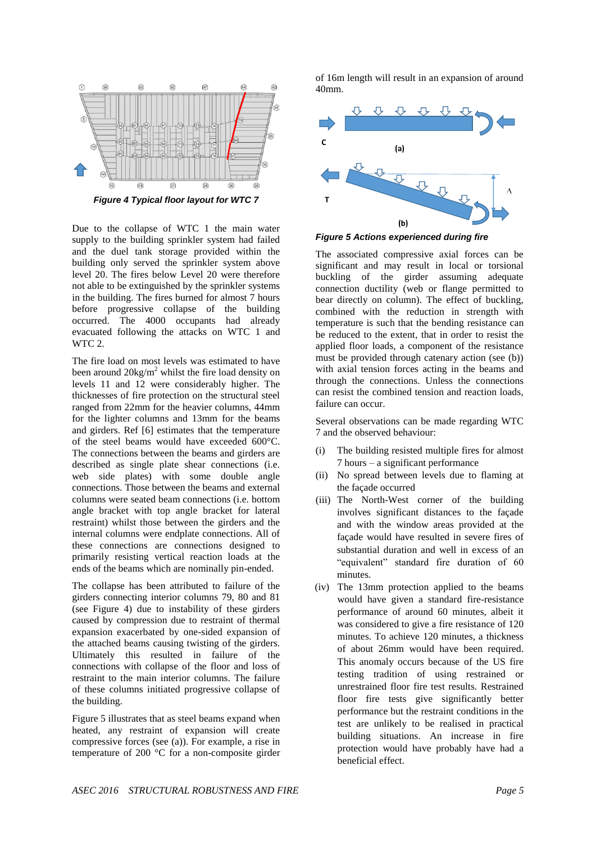

*Figure 4 Typical floor layout for WTC 7*

Due to the collapse of WTC 1 the main water supply to the building sprinkler system had failed and the duel tank storage provided within the building only served the sprinkler system above level 20. The fires below Level 20 were therefore not able to be extinguished by the sprinkler systems in the building. The fires burned for almost 7 hours before progressive collapse of the building occurred. The 4000 occupants had already evacuated following the attacks on WTC 1 and WTC 2.

The fire load on most levels was estimated to have been around  $20\text{kg/m}^2$  whilst the fire load density on levels 11 and 12 were considerably higher. The thicknesses of fire protection on the structural steel ranged from 22mm for the heavier columns, 44mm for the lighter columns and 13mm for the beams and girders. Ref [6] estimates that the temperature of the steel beams would have exceeded 600°C. The connections between the beams and girders are described as single plate shear connections (i.e. web side plates) with some double angle connections. Those between the beams and external columns were seated beam connections (i.e. bottom angle bracket with top angle bracket for lateral restraint) whilst those between the girders and the internal columns were endplate connections. All of these connections are connections designed to primarily resisting vertical reaction loads at the ends of the beams which are nominally pin-ended.

The collapse has been attributed to failure of the girders connecting interior columns 79, 80 and 81 (see Figure 4) due to instability of these girders caused by compression due to restraint of thermal expansion exacerbated by one-sided expansion of the attached beams causing twisting of the girders. Ultimately this resulted in failure of the connections with collapse of the floor and loss of restraint to the main interior columns. The failure of these columns initiated progressive collapse of the building.

Figure 5 illustrates that as steel beams expand when heated, any restraint of expansion will create compressive forces (see (a)). For example, a rise in temperature of 200 °C for a non-composite girder of 16m length will result in an expansion of around 40mm.



*Figure 5 Actions experienced during fire*

The associated compressive axial forces can be significant and may result in local or torsional buckling of the girder assuming adequate connection ductility (web or flange permitted to bear directly on column). The effect of buckling, combined with the reduction in strength with temperature is such that the bending resistance can be reduced to the extent, that in order to resist the applied floor loads, a component of the resistance must be provided through catenary action (see (b)) with axial tension forces acting in the beams and through the connections. Unless the connections can resist the combined tension and reaction loads, failure can occur.

Several observations can be made regarding WTC 7 and the observed behaviour:

- (i) The building resisted multiple fires for almost 7 hours – a significant performance
- (ii) No spread between levels due to flaming at the façade occurred
- (iii) The North-West corner of the building involves significant distances to the façade and with the window areas provided at the façade would have resulted in severe fires of substantial duration and well in excess of an "equivalent" standard fire duration of 60 minutes.
- (iv) The 13mm protection applied to the beams would have given a standard fire-resistance performance of around 60 minutes, albeit it was considered to give a fire resistance of 120 minutes. To achieve 120 minutes, a thickness of about 26mm would have been required. This anomaly occurs because of the US fire testing tradition of using restrained or unrestrained floor fire test results. Restrained floor fire tests give significantly better performance but the restraint conditions in the test are unlikely to be realised in practical building situations. An increase in fire protection would have probably have had a beneficial effect.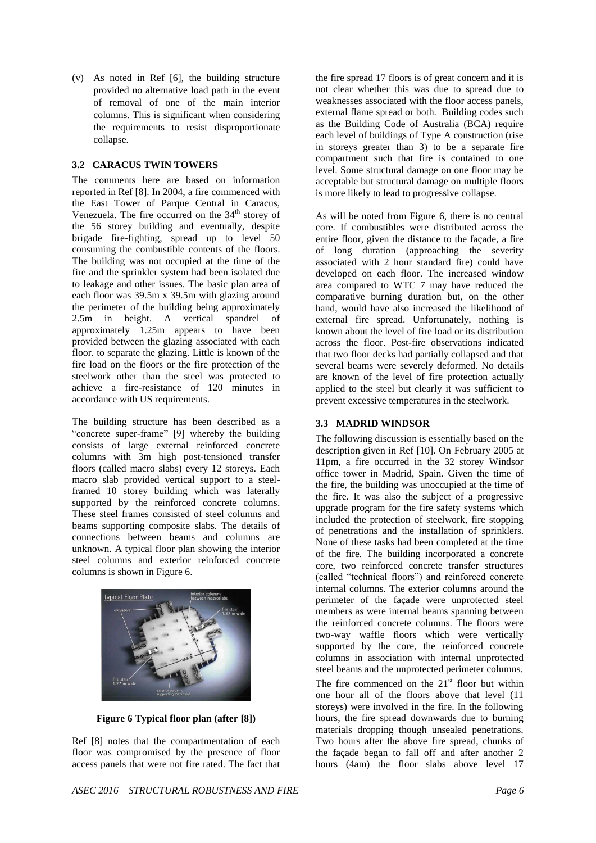(v) As noted in Ref [6], the building structure provided no alternative load path in the event of removal of one of the main interior columns. This is significant when considering the requirements to resist disproportionate collapse.

#### **3.2 CARACUS TWIN TOWERS**

The comments here are based on information reported in Ref [8]. In 2004, a fire commenced with the East Tower of Parque Central in Caracus, Venezuela. The fire occurred on the  $34<sup>th</sup>$  storey of the 56 storey building and eventually, despite brigade fire-fighting, spread up to level 50 consuming the combustible contents of the floors. The building was not occupied at the time of the fire and the sprinkler system had been isolated due to leakage and other issues. The basic plan area of each floor was 39.5m x 39.5m with glazing around the perimeter of the building being approximately 2.5m in height. A vertical spandrel of approximately 1.25m appears to have been provided between the glazing associated with each floor. to separate the glazing. Little is known of the fire load on the floors or the fire protection of the steelwork other than the steel was protected to achieve a fire-resistance of 120 minutes in accordance with US requirements.

The building structure has been described as a "concrete super-frame" [9] whereby the building consists of large external reinforced concrete columns with 3m high post-tensioned transfer floors (called macro slabs) every 12 storeys. Each macro slab provided vertical support to a steelframed 10 storey building which was laterally supported by the reinforced concrete columns. These steel frames consisted of steel columns and beams supporting composite slabs. The details of connections between beams and columns are unknown. A typical floor plan showing the interior steel columns and exterior reinforced concrete columns is shown in Figure 6.



**Figure 6 Typical floor plan (after [8])**

Ref [8] notes that the compartmentation of each floor was compromised by the presence of floor access panels that were not fire rated. The fact that the fire spread 17 floors is of great concern and it is not clear whether this was due to spread due to weaknesses associated with the floor access panels, external flame spread or both. Building codes such as the Building Code of Australia (BCA) require each level of buildings of Type A construction (rise in storeys greater than 3) to be a separate fire compartment such that fire is contained to one level. Some structural damage on one floor may be acceptable but structural damage on multiple floors is more likely to lead to progressive collapse.

As will be noted from Figure 6, there is no central core. If combustibles were distributed across the entire floor, given the distance to the façade, a fire of long duration (approaching the severity associated with 2 hour standard fire) could have developed on each floor. The increased window area compared to WTC 7 may have reduced the comparative burning duration but, on the other hand, would have also increased the likelihood of external fire spread. Unfortunately, nothing is known about the level of fire load or its distribution across the floor. Post-fire observations indicated that two floor decks had partially collapsed and that several beams were severely deformed. No details are known of the level of fire protection actually applied to the steel but clearly it was sufficient to prevent excessive temperatures in the steelwork.

### **3.3 MADRID WINDSOR**

The following discussion is essentially based on the description given in Ref [10]. On February 2005 at 11pm, a fire occurred in the 32 storey Windsor office tower in Madrid, Spain. Given the time of the fire, the building was unoccupied at the time of the fire. It was also the subject of a progressive upgrade program for the fire safety systems which included the protection of steelwork, fire stopping of penetrations and the installation of sprinklers. None of these tasks had been completed at the time of the fire. The building incorporated a concrete core, two reinforced concrete transfer structures (called "technical floors") and reinforced concrete internal columns. The exterior columns around the perimeter of the façade were unprotected steel members as were internal beams spanning between the reinforced concrete columns. The floors were two-way waffle floors which were vertically supported by the core, the reinforced concrete columns in association with internal unprotected steel beams and the unprotected perimeter columns. The fire commenced on the  $21<sup>st</sup>$  floor but within one hour all of the floors above that level (11 storeys) were involved in the fire. In the following hours, the fire spread downwards due to burning materials dropping though unsealed penetrations. Two hours after the above fire spread, chunks of the façade began to fall off and after another 2 hours (4am) the floor slabs above level 17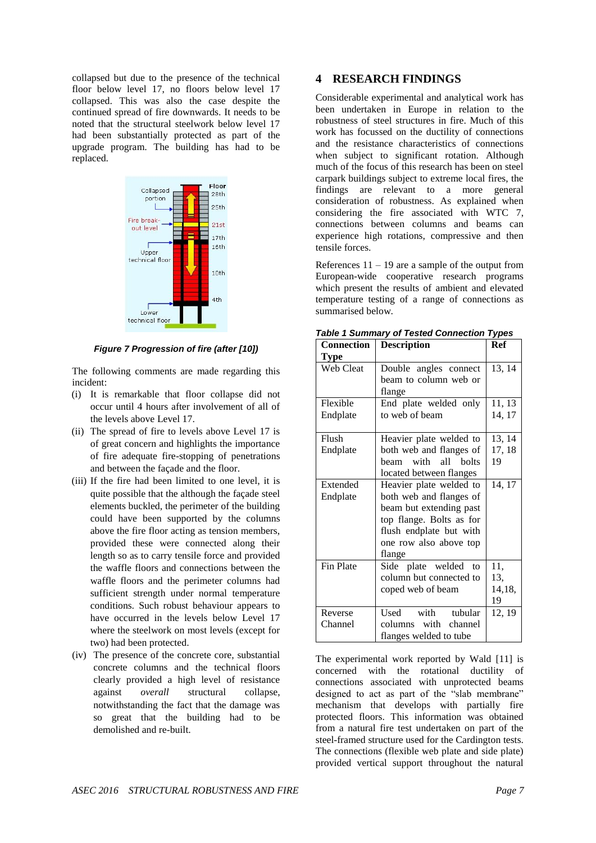collapsed but due to the presence of the technical floor below level 17, no floors below level 17 collapsed. This was also the case despite the continued spread of fire downwards. It needs to be noted that the structural steelwork below level 17 had been substantially protected as part of the upgrade program. The building has had to be replaced.



*Figure 7 Progression of fire (after [10])*

The following comments are made regarding this incident:

- (i) It is remarkable that floor collapse did not occur until 4 hours after involvement of all of the levels above Level 17.
- (ii) The spread of fire to levels above Level 17 is of great concern and highlights the importance of fire adequate fire-stopping of penetrations and between the façade and the floor.
- (iii) If the fire had been limited to one level, it is quite possible that the although the façade steel elements buckled, the perimeter of the building could have been supported by the columns above the fire floor acting as tension members, provided these were connected along their length so as to carry tensile force and provided the waffle floors and connections between the waffle floors and the perimeter columns had sufficient strength under normal temperature conditions. Such robust behaviour appears to have occurred in the levels below Level 17 where the steelwork on most levels (except for two) had been protected.
- (iv) The presence of the concrete core, substantial concrete columns and the technical floors clearly provided a high level of resistance against *overall* structural collapse, notwithstanding the fact that the damage was so great that the building had to be demolished and re-built.

#### **4 RESEARCH FINDINGS**

Considerable experimental and analytical work has been undertaken in Europe in relation to the robustness of steel structures in fire. Much of this work has focussed on the ductility of connections and the resistance characteristics of connections when subject to significant rotation. Although much of the focus of this research has been on steel carpark buildings subject to extreme local fires, the findings are relevant to a more general consideration of robustness. As explained when considering the fire associated with WTC 7, connections between columns and beams can experience high rotations, compressive and then tensile forces.

References  $11 - 19$  are a sample of the output from European-wide cooperative research programs which present the results of ambient and elevated temperature testing of a range of connections as summarised below.

| <b>Connection</b> | <b>Description</b>       | Ref    |
|-------------------|--------------------------|--------|
| <b>Type</b>       |                          |        |
| Web Cleat         | Double angles connect    | 13, 14 |
|                   | beam to column web or    |        |
|                   | flange                   |        |
| Flexible          | End plate welded only    | 11, 13 |
| Endplate          | to web of beam           | 14, 17 |
|                   |                          |        |
| Flush             | Heavier plate welded to  | 13, 14 |
| Endplate          | both web and flanges of  | 17, 18 |
|                   | with all bolts<br>heam   | 19     |
|                   | located between flanges  |        |
| Extended          | Heavier plate welded to  | 14, 17 |
| Endplate          | both web and flanges of  |        |
|                   | beam but extending past  |        |
|                   | top flange. Bolts as for |        |
|                   | flush endplate but with  |        |
|                   | one row also above top   |        |
|                   | flange                   |        |
| Fin Plate         | Side plate welded to     | 11,    |
|                   | column but connected to  | 13,    |
|                   | coped web of beam        | 14,18, |
|                   |                          | 19     |
| Reverse           | Used with tubular        | 12, 19 |
| Channel           | columns with channel     |        |
|                   | flanges welded to tube   |        |

*Table 1 Summary of Tested Connection Types* 

The experimental work reported by Wald [11] is concerned with the rotational ductility of connections associated with unprotected beams designed to act as part of the "slab membrane" mechanism that develops with partially fire protected floors. This information was obtained from a natural fire test undertaken on part of the steel-framed structure used for the Cardington tests. The connections (flexible web plate and side plate) provided vertical support throughout the natural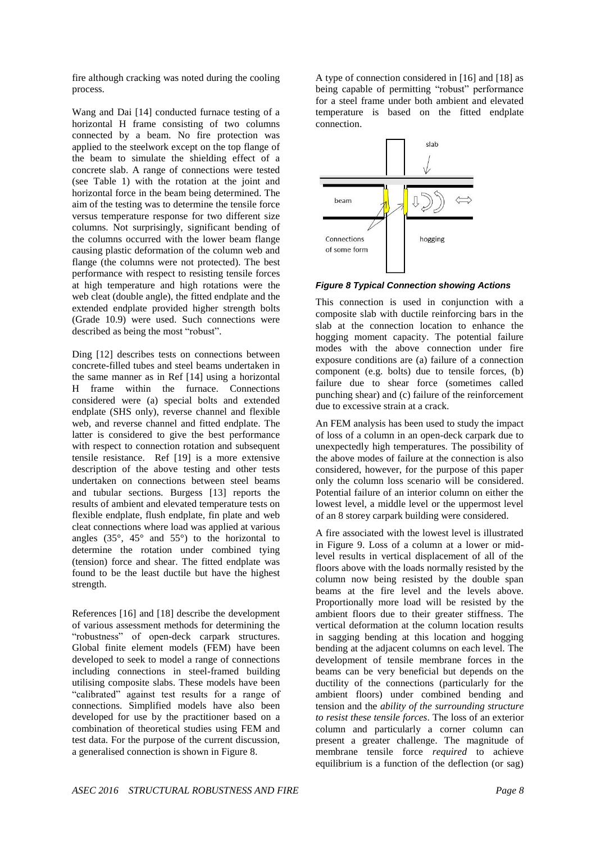fire although cracking was noted during the cooling process.

Wang and Dai [14] conducted furnace testing of a horizontal H frame consisting of two columns connected by a beam. No fire protection was applied to the steelwork except on the top flange of the beam to simulate the shielding effect of a concrete slab. A range of connections were tested (see Table 1) with the rotation at the joint and horizontal force in the beam being determined. The aim of the testing was to determine the tensile force versus temperature response for two different size columns. Not surprisingly, significant bending of the columns occurred with the lower beam flange causing plastic deformation of the column web and flange (the columns were not protected). The best performance with respect to resisting tensile forces at high temperature and high rotations were the web cleat (double angle), the fitted endplate and the extended endplate provided higher strength bolts (Grade 10.9) were used. Such connections were described as being the most "robust".

Ding [12] describes tests on connections between concrete-filled tubes and steel beams undertaken in the same manner as in Ref [14] using a horizontal H frame within the furnace. Connections considered were (a) special bolts and extended endplate (SHS only), reverse channel and flexible web, and reverse channel and fitted endplate. The latter is considered to give the best performance with respect to connection rotation and subsequent tensile resistance. Ref [19] is a more extensive description of the above testing and other tests undertaken on connections between steel beams and tubular sections. Burgess [13] reports the results of ambient and elevated temperature tests on flexible endplate, flush endplate, fin plate and web cleat connections where load was applied at various angles  $(35^{\circ}, 45^{\circ})$  and  $55^{\circ})$  to the horizontal to determine the rotation under combined tying (tension) force and shear. The fitted endplate was found to be the least ductile but have the highest strength.

References [16] and [18] describe the development of various assessment methods for determining the "robustness" of open-deck carpark structures. Global finite element models (FEM) have been developed to seek to model a range of connections including connections in steel-framed building utilising composite slabs. These models have been "calibrated" against test results for a range of connections. Simplified models have also been developed for use by the practitioner based on a combination of theoretical studies using FEM and test data. For the purpose of the current discussion, a generalised connection is shown in Figure 8.

A type of connection considered in [16] and [18] as being capable of permitting "robust" performance for a steel frame under both ambient and elevated temperature is based on the fitted endplate connection.



*Figure 8 Typical Connection showing Actions*

This connection is used in conjunction with a composite slab with ductile reinforcing bars in the slab at the connection location to enhance the hogging moment capacity. The potential failure modes with the above connection under fire exposure conditions are (a) failure of a connection component (e.g. bolts) due to tensile forces, (b) failure due to shear force (sometimes called punching shear) and (c) failure of the reinforcement due to excessive strain at a crack.

An FEM analysis has been used to study the impact of loss of a column in an open-deck carpark due to unexpectedly high temperatures. The possibility of the above modes of failure at the connection is also considered, however, for the purpose of this paper only the column loss scenario will be considered. Potential failure of an interior column on either the lowest level, a middle level or the uppermost level of an 8 storey carpark building were considered.

A fire associated with the lowest level is illustrated in Figure 9. Loss of a column at a lower or midlevel results in vertical displacement of all of the floors above with the loads normally resisted by the column now being resisted by the double span beams at the fire level and the levels above. Proportionally more load will be resisted by the ambient floors due to their greater stiffness. The vertical deformation at the column location results in sagging bending at this location and hogging bending at the adjacent columns on each level. The development of tensile membrane forces in the beams can be very beneficial but depends on the ductility of the connections (particularly for the ambient floors) under combined bending and tension and the *ability of the surrounding structure to resist these tensile forces*. The loss of an exterior column and particularly a corner column can present a greater challenge. The magnitude of membrane tensile force *required* to achieve equilibrium is a function of the deflection (or sag)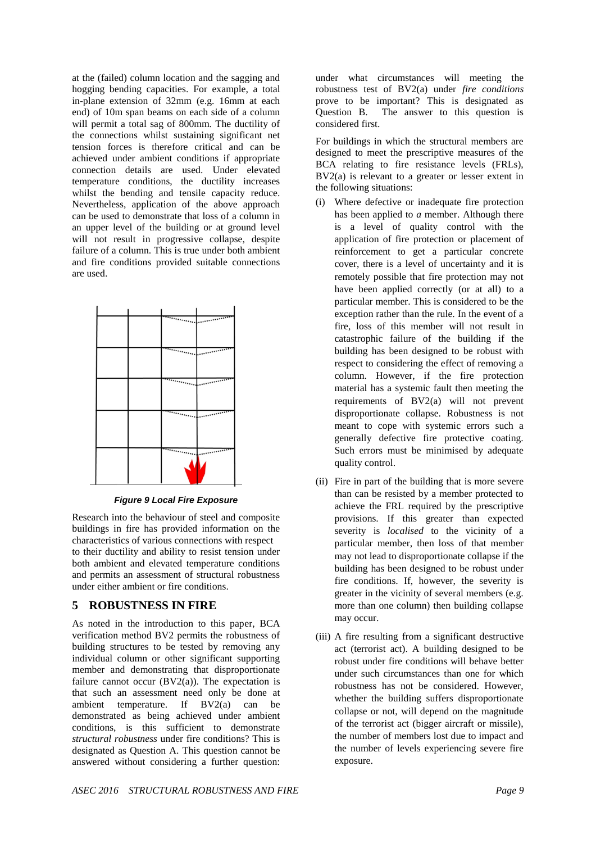at the (failed) column location and the sagging and hogging bending capacities. For example, a total in-plane extension of 32mm (e.g. 16mm at each end) of 10m span beams on each side of a column will permit a total sag of 800mm. The ductility of the connections whilst sustaining significant net tension forces is therefore critical and can be achieved under ambient conditions if appropriate connection details are used. Under elevated temperature conditions, the ductility increases whilst the bending and tensile capacity reduce. Nevertheless, application of the above approach can be used to demonstrate that loss of a column in an upper level of the building or at ground level will not result in progressive collapse, despite failure of a column. This is true under both ambient and fire conditions provided suitable connections are used.

|  | <u> Maria Laborator</u>                                        |
|--|----------------------------------------------------------------|
|  | <u> Timbulan me</u>                                            |
|  | $\overline{\phantom{a}}$<br><b>Linder of the United States</b> |
|  | $\overline{\phantom{a}}$<br><b>Continued Street</b>            |
|  |                                                                |

*Figure 9 Local Fire Exposure*

Research into the behaviour of steel and composite buildings in fire has provided information on the characteristics of various connections with respect to their ductility and ability to resist tension under both ambient and elevated temperature conditions and permits an assessment of structural robustness under either ambient or fire conditions.

### **5 ROBUSTNESS IN FIRE**

As noted in the introduction to this paper, BCA verification method BV2 permits the robustness of building structures to be tested by removing any individual column or other significant supporting member and demonstrating that disproportionate failure cannot occur  $(BV2(a))$ . The expectation is that such an assessment need only be done at ambient temperature. If BV2(a) can be demonstrated as being achieved under ambient conditions, is this sufficient to demonstrate *structural robustness* under fire conditions? This is designated as Question A. This question cannot be answered without considering a further question:

under what circumstances will meeting the robustness test of BV2(a) under *fire conditions* prove to be important? This is designated as Question B. The answer to this question is considered first.

For buildings in which the structural members are designed to meet the prescriptive measures of the BCA relating to fire resistance levels (FRLs), BV2(a) is relevant to a greater or lesser extent in the following situations:

- (i) Where defective or inadequate fire protection has been applied to *a* member. Although there is a level of quality control with the application of fire protection or placement of reinforcement to get a particular concrete cover, there is a level of uncertainty and it is remotely possible that fire protection may not have been applied correctly (or at all) to a particular member. This is considered to be the exception rather than the rule. In the event of a fire, loss of this member will not result in catastrophic failure of the building if the building has been designed to be robust with respect to considering the effect of removing a column. However, if the fire protection material has a systemic fault then meeting the requirements of BV2(a) will not prevent disproportionate collapse. Robustness is not meant to cope with systemic errors such a generally defective fire protective coating. Such errors must be minimised by adequate quality control.
- (ii) Fire in part of the building that is more severe than can be resisted by a member protected to achieve the FRL required by the prescriptive provisions. If this greater than expected severity is *localised* to the vicinity of a particular member, then loss of that member may not lead to disproportionate collapse if the building has been designed to be robust under fire conditions. If, however, the severity is greater in the vicinity of several members (e.g. more than one column) then building collapse may occur.
- (iii) A fire resulting from a significant destructive act (terrorist act). A building designed to be robust under fire conditions will behave better under such circumstances than one for which robustness has not be considered. However, whether the building suffers disproportionate collapse or not, will depend on the magnitude of the terrorist act (bigger aircraft or missile), the number of members lost due to impact and the number of levels experiencing severe fire exposure.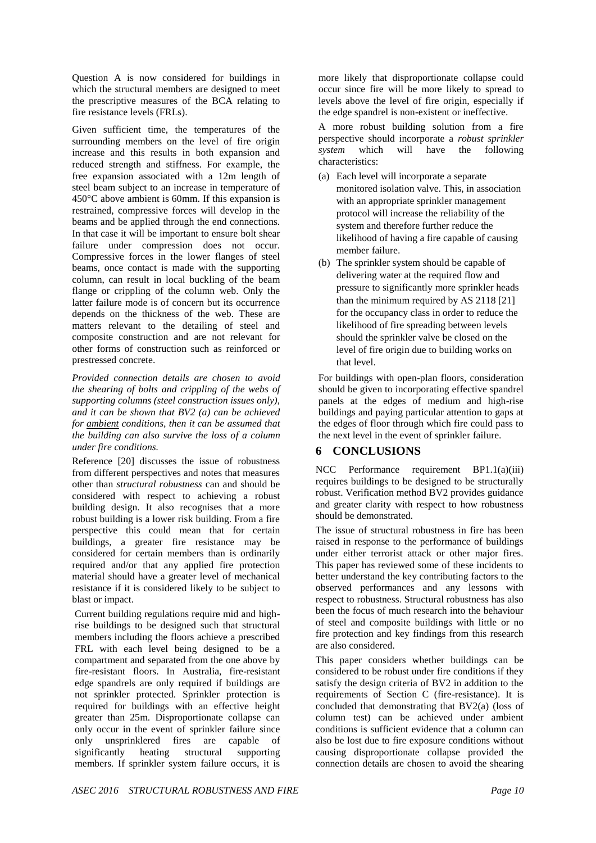Question A is now considered for buildings in which the structural members are designed to meet the prescriptive measures of the BCA relating to fire resistance levels (FRLs).

Given sufficient time, the temperatures of the surrounding members on the level of fire origin increase and this results in both expansion and reduced strength and stiffness. For example, the free expansion associated with a 12m length of steel beam subject to an increase in temperature of 450°C above ambient is 60mm. If this expansion is restrained, compressive forces will develop in the beams and be applied through the end connections. In that case it will be important to ensure bolt shear failure under compression does not occur. Compressive forces in the lower flanges of steel beams, once contact is made with the supporting column, can result in local buckling of the beam flange or crippling of the column web. Only the latter failure mode is of concern but its occurrence depends on the thickness of the web. These are matters relevant to the detailing of steel and composite construction and are not relevant for other forms of construction such as reinforced or prestressed concrete.

*Provided connection details are chosen to avoid the shearing of bolts and crippling of the webs of supporting columns (steel construction issues only), and it can be shown that BV2 (a) can be achieved for ambient conditions, then it can be assumed that the building can also survive the loss of a column under fire conditions.*

Reference [20] discusses the issue of robustness from different perspectives and notes that measures other than *structural robustness* can and should be considered with respect to achieving a robust building design. It also recognises that a more robust building is a lower risk building. From a fire perspective this could mean that for certain buildings, a greater fire resistance may be considered for certain members than is ordinarily required and/or that any applied fire protection material should have a greater level of mechanical resistance if it is considered likely to be subject to blast or impact.

Current building regulations require mid and highrise buildings to be designed such that structural members including the floors achieve a prescribed FRL with each level being designed to be a compartment and separated from the one above by fire-resistant floors. In Australia, fire-resistant edge spandrels are only required if buildings are not sprinkler protected. Sprinkler protection is required for buildings with an effective height greater than 25m. Disproportionate collapse can only occur in the event of sprinkler failure since only unsprinklered fires are capable of significantly heating structural supporting members. If sprinkler system failure occurs, it is

more likely that disproportionate collapse could occur since fire will be more likely to spread to levels above the level of fire origin, especially if the edge spandrel is non-existent or ineffective.

A more robust building solution from a fire perspective should incorporate a *robust sprinkler system* which will have the following characteristics:

- (a) Each level will incorporate a separate monitored isolation valve. This, in association with an appropriate sprinkler management protocol will increase the reliability of the system and therefore further reduce the likelihood of having a fire capable of causing member failure.
- (b) The sprinkler system should be capable of delivering water at the required flow and pressure to significantly more sprinkler heads than the minimum required by AS 2118 [21] for the occupancy class in order to reduce the likelihood of fire spreading between levels should the sprinkler valve be closed on the level of fire origin due to building works on that level.

For buildings with open-plan floors, consideration should be given to incorporating effective spandrel panels at the edges of medium and high-rise buildings and paying particular attention to gaps at the edges of floor through which fire could pass to the next level in the event of sprinkler failure.

## **6 CONCLUSIONS**

NCC Performance requirement BP1.1(a)(iii) requires buildings to be designed to be structurally robust. Verification method BV2 provides guidance and greater clarity with respect to how robustness should be demonstrated.

The issue of structural robustness in fire has been raised in response to the performance of buildings under either terrorist attack or other major fires. This paper has reviewed some of these incidents to better understand the key contributing factors to the observed performances and any lessons with respect to robustness. Structural robustness has also been the focus of much research into the behaviour of steel and composite buildings with little or no fire protection and key findings from this research are also considered.

This paper considers whether buildings can be considered to be robust under fire conditions if they satisfy the design criteria of BV2 in addition to the requirements of Section C (fire-resistance). It is concluded that demonstrating that BV2(a) (loss of column test) can be achieved under ambient conditions is sufficient evidence that a column can also be lost due to fire exposure conditions without causing disproportionate collapse provided the connection details are chosen to avoid the shearing